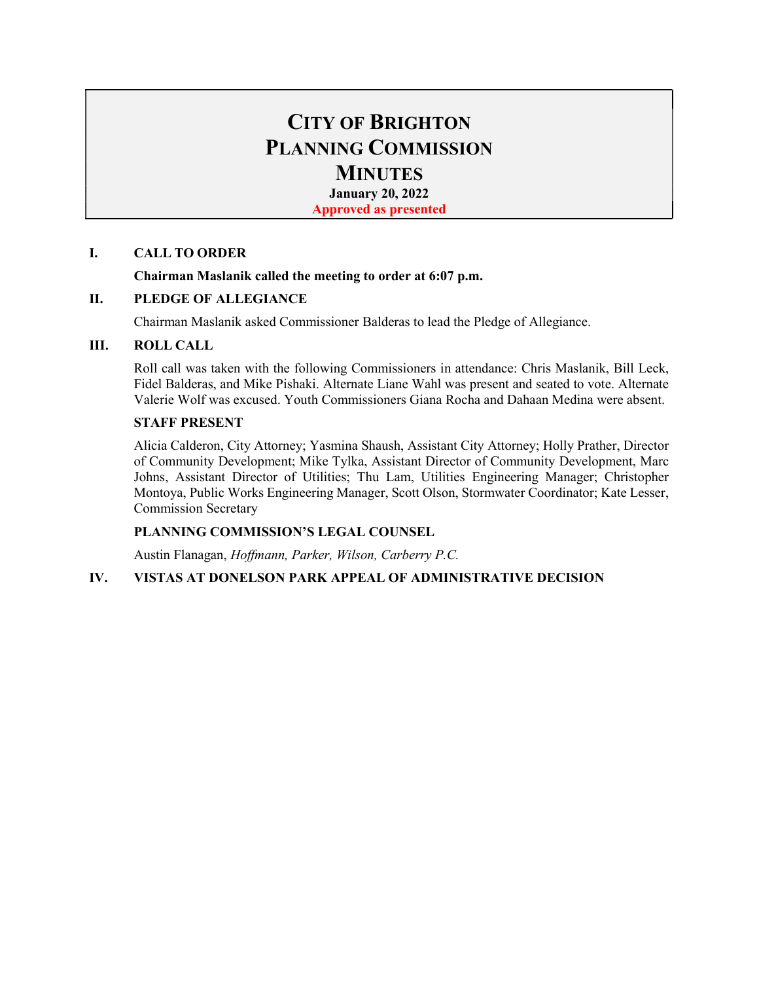# CITY OF BRIGHTON PLANNING COMMISSION **MINUTES**

January 20, 2022

Approved as presented

### I. CALL TO ORDER

### Chairman Maslanik called the meeting to order at 6:07 p.m.

### II. PLEDGE OF ALLEGIANCE

Chairman Maslanik asked Commissioner Balderas to lead the Pledge of Allegiance.

### III. ROLL CALL

Roll call was taken with the following Commissioners in attendance: Chris Maslanik, Bill Leck, Fidel Balderas, and Mike Pishaki. Alternate Liane Wahl was present and seated to vote. Alternate Valerie Wolf was excused. Youth Commissioners Giana Rocha and Dahaan Medina were absent.

#### STAFF PRESENT

Alicia Calderon, City Attorney; Yasmina Shaush, Assistant City Attorney; Holly Prather, Director of Community Development; Mike Tylka, Assistant Director of Community Development, Marc Johns, Assistant Director of Utilities; Thu Lam, Utilities Engineering Manager; Christopher Montoya, Public Works Engineering Manager, Scott Olson, Stormwater Coordinator; Kate Lesser, Commission Secretary

## PLANNING COMMISSION'S LEGAL COUNSEL

Austin Flanagan, Hoffmann, Parker, Wilson, Carberry P.C.

### IV. VISTAS AT DONELSON PARK APPEAL OF ADMINISTRATIVE DECISION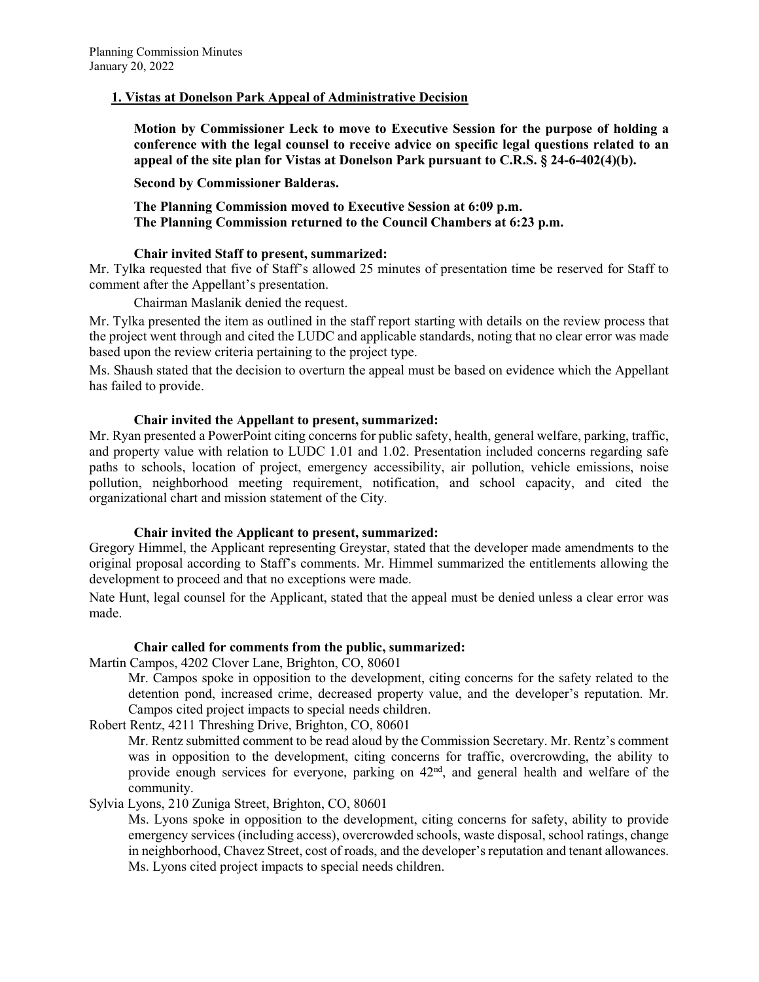### 1. Vistas at Donelson Park Appeal of Administrative Decision

Motion by Commissioner Leck to move to Executive Session for the purpose of holding a conference with the legal counsel to receive advice on specific legal questions related to an appeal of the site plan for Vistas at Donelson Park pursuant to C.R.S. § 24-6-402(4)(b).

Second by Commissioner Balderas.

The Planning Commission moved to Executive Session at 6:09 p.m. The Planning Commission returned to the Council Chambers at 6:23 p.m.

## Chair invited Staff to present, summarized:

Mr. Tylka requested that five of Staff's allowed 25 minutes of presentation time be reserved for Staff to comment after the Appellant's presentation.

Chairman Maslanik denied the request.

Mr. Tylka presented the item as outlined in the staff report starting with details on the review process that the project went through and cited the LUDC and applicable standards, noting that no clear error was made based upon the review criteria pertaining to the project type.

Ms. Shaush stated that the decision to overturn the appeal must be based on evidence which the Appellant has failed to provide.

### Chair invited the Appellant to present, summarized:

Mr. Ryan presented a PowerPoint citing concerns for public safety, health, general welfare, parking, traffic, and property value with relation to LUDC 1.01 and 1.02. Presentation included concerns regarding safe paths to schools, location of project, emergency accessibility, air pollution, vehicle emissions, noise pollution, neighborhood meeting requirement, notification, and school capacity, and cited the organizational chart and mission statement of the City.

### Chair invited the Applicant to present, summarized:

Gregory Himmel, the Applicant representing Greystar, stated that the developer made amendments to the original proposal according to Staff's comments. Mr. Himmel summarized the entitlements allowing the development to proceed and that no exceptions were made.

Nate Hunt, legal counsel for the Applicant, stated that the appeal must be denied unless a clear error was made.

### Chair called for comments from the public, summarized:

Martin Campos, 4202 Clover Lane, Brighton, CO, 80601

Mr. Campos spoke in opposition to the development, citing concerns for the safety related to the detention pond, increased crime, decreased property value, and the developer's reputation. Mr. Campos cited project impacts to special needs children.

Robert Rentz, 4211 Threshing Drive, Brighton, CO, 80601

Mr. Rentz submitted comment to be read aloud by the Commission Secretary. Mr. Rentz's comment was in opposition to the development, citing concerns for traffic, overcrowding, the ability to provide enough services for everyone, parking on 42<sup>nd</sup>, and general health and welfare of the community.

### Sylvia Lyons, 210 Zuniga Street, Brighton, CO, 80601

Ms. Lyons spoke in opposition to the development, citing concerns for safety, ability to provide emergency services (including access), overcrowded schools, waste disposal, school ratings, change in neighborhood, Chavez Street, cost of roads, and the developer's reputation and tenant allowances. Ms. Lyons cited project impacts to special needs children.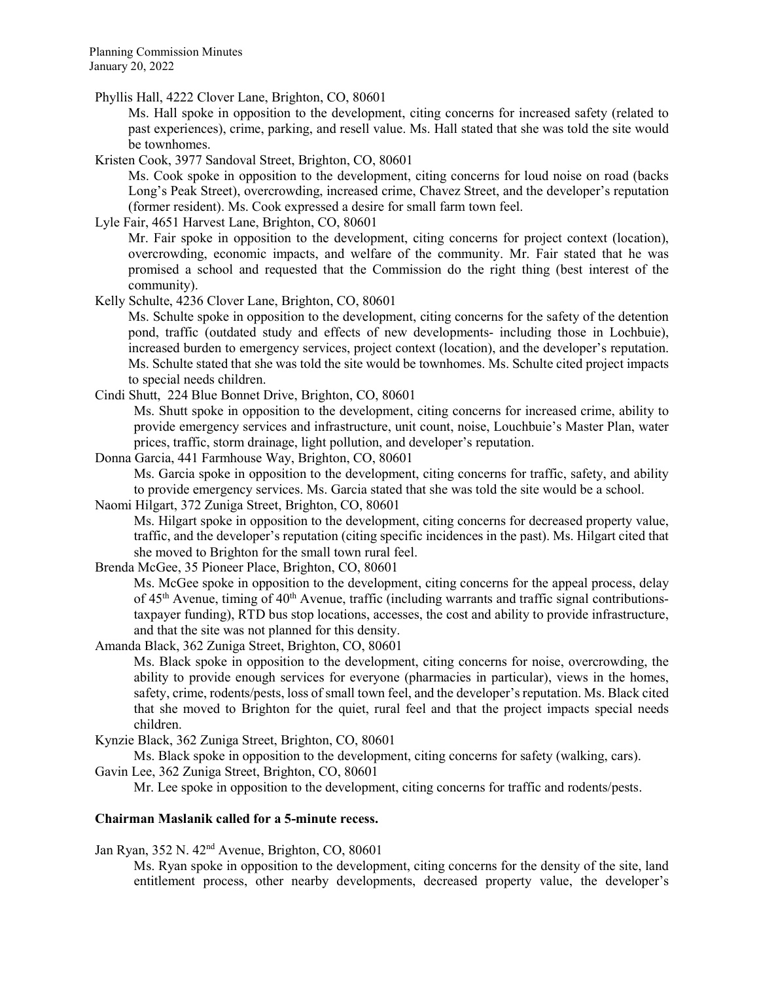Phyllis Hall, 4222 Clover Lane, Brighton, CO, 80601

 Ms. Hall spoke in opposition to the development, citing concerns for increased safety (related to past experiences), crime, parking, and resell value. Ms. Hall stated that she was told the site would be townhomes.

Kristen Cook, 3977 Sandoval Street, Brighton, CO, 80601

 Ms. Cook spoke in opposition to the development, citing concerns for loud noise on road (backs Long's Peak Street), overcrowding, increased crime, Chavez Street, and the developer's reputation (former resident). Ms. Cook expressed a desire for small farm town feel.

Lyle Fair, 4651 Harvest Lane, Brighton, CO, 80601

 Mr. Fair spoke in opposition to the development, citing concerns for project context (location), overcrowding, economic impacts, and welfare of the community. Mr. Fair stated that he was promised a school and requested that the Commission do the right thing (best interest of the community).

Kelly Schulte, 4236 Clover Lane, Brighton, CO, 80601

Ms. Schulte spoke in opposition to the development, citing concerns for the safety of the detention pond, traffic (outdated study and effects of new developments- including those in Lochbuie), increased burden to emergency services, project context (location), and the developer's reputation. Ms. Schulte stated that she was told the site would be townhomes. Ms. Schulte cited project impacts to special needs children.

Cindi Shutt, 224 Blue Bonnet Drive, Brighton, CO, 80601

Ms. Shutt spoke in opposition to the development, citing concerns for increased crime, ability to provide emergency services and infrastructure, unit count, noise, Louchbuie's Master Plan, water prices, traffic, storm drainage, light pollution, and developer's reputation.

Donna Garcia, 441 Farmhouse Way, Brighton, CO, 80601 Ms. Garcia spoke in opposition to the development, citing concerns for traffic, safety, and ability

to provide emergency services. Ms. Garcia stated that she was told the site would be a school.

Naomi Hilgart, 372 Zuniga Street, Brighton, CO, 80601

Ms. Hilgart spoke in opposition to the development, citing concerns for decreased property value, traffic, and the developer's reputation (citing specific incidences in the past). Ms. Hilgart cited that she moved to Brighton for the small town rural feel.

Brenda McGee, 35 Pioneer Place, Brighton, CO, 80601

 Ms. McGee spoke in opposition to the development, citing concerns for the appeal process, delay of  $45<sup>th</sup>$  Avenue, timing of  $40<sup>th</sup>$  Avenue, traffic (including warrants and traffic signal contributionstaxpayer funding), RTD bus stop locations, accesses, the cost and ability to provide infrastructure, and that the site was not planned for this density.

Amanda Black, 362 Zuniga Street, Brighton, CO, 80601

 Ms. Black spoke in opposition to the development, citing concerns for noise, overcrowding, the ability to provide enough services for everyone (pharmacies in particular), views in the homes, safety, crime, rodents/pests, loss of small town feel, and the developer's reputation. Ms. Black cited that she moved to Brighton for the quiet, rural feel and that the project impacts special needs children.

Kynzie Black, 362 Zuniga Street, Brighton, CO, 80601

Ms. Black spoke in opposition to the development, citing concerns for safety (walking, cars).

Gavin Lee, 362 Zuniga Street, Brighton, CO, 80601

Mr. Lee spoke in opposition to the development, citing concerns for traffic and rodents/pests.

#### Chairman Maslanik called for a 5-minute recess.

Jan Ryan, 352 N. 42nd Avenue, Brighton, CO, 80601

 Ms. Ryan spoke in opposition to the development, citing concerns for the density of the site, land entitlement process, other nearby developments, decreased property value, the developer's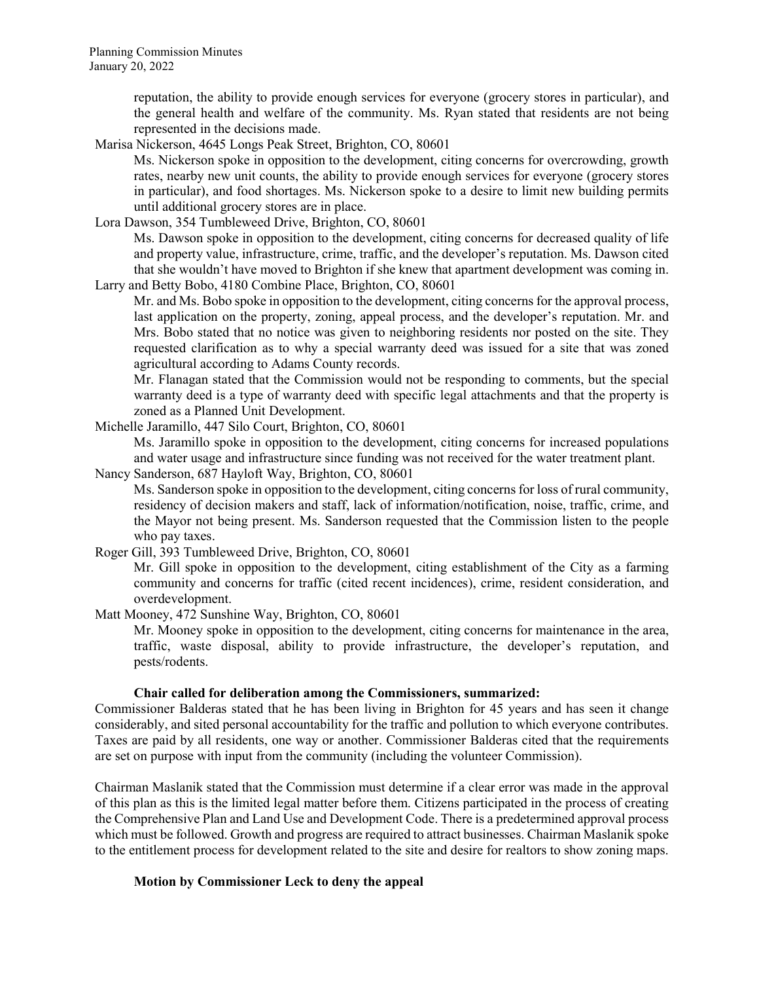reputation, the ability to provide enough services for everyone (grocery stores in particular), and the general health and welfare of the community. Ms. Ryan stated that residents are not being represented in the decisions made.

Marisa Nickerson, 4645 Longs Peak Street, Brighton, CO, 80601

 Ms. Nickerson spoke in opposition to the development, citing concerns for overcrowding, growth rates, nearby new unit counts, the ability to provide enough services for everyone (grocery stores in particular), and food shortages. Ms. Nickerson spoke to a desire to limit new building permits until additional grocery stores are in place.

Lora Dawson, 354 Tumbleweed Drive, Brighton, CO, 80601

 Ms. Dawson spoke in opposition to the development, citing concerns for decreased quality of life and property value, infrastructure, crime, traffic, and the developer's reputation. Ms. Dawson cited that she wouldn't have moved to Brighton if she knew that apartment development was coming in. Larry and Betty Bobo, 4180 Combine Place, Brighton, CO, 80601

 Mr. and Ms. Bobo spoke in opposition to the development, citing concerns for the approval process, last application on the property, zoning, appeal process, and the developer's reputation. Mr. and Mrs. Bobo stated that no notice was given to neighboring residents nor posted on the site. They requested clarification as to why a special warranty deed was issued for a site that was zoned agricultural according to Adams County records.

 Mr. Flanagan stated that the Commission would not be responding to comments, but the special warranty deed is a type of warranty deed with specific legal attachments and that the property is zoned as a Planned Unit Development.

Michelle Jaramillo, 447 Silo Court, Brighton, CO, 80601

 Ms. Jaramillo spoke in opposition to the development, citing concerns for increased populations and water usage and infrastructure since funding was not received for the water treatment plant.

Nancy Sanderson, 687 Hayloft Way, Brighton, CO, 80601

 Ms. Sanderson spoke in opposition to the development, citing concerns for loss of rural community, residency of decision makers and staff, lack of information/notification, noise, traffic, crime, and the Mayor not being present. Ms. Sanderson requested that the Commission listen to the people who pay taxes.

Roger Gill, 393 Tumbleweed Drive, Brighton, CO, 80601

 Mr. Gill spoke in opposition to the development, citing establishment of the City as a farming community and concerns for traffic (cited recent incidences), crime, resident consideration, and overdevelopment.

Matt Mooney, 472 Sunshine Way, Brighton, CO, 80601

 Mr. Mooney spoke in opposition to the development, citing concerns for maintenance in the area, traffic, waste disposal, ability to provide infrastructure, the developer's reputation, and pests/rodents.

### Chair called for deliberation among the Commissioners, summarized:

Commissioner Balderas stated that he has been living in Brighton for 45 years and has seen it change considerably, and sited personal accountability for the traffic and pollution to which everyone contributes. Taxes are paid by all residents, one way or another. Commissioner Balderas cited that the requirements are set on purpose with input from the community (including the volunteer Commission).

Chairman Maslanik stated that the Commission must determine if a clear error was made in the approval of this plan as this is the limited legal matter before them. Citizens participated in the process of creating the Comprehensive Plan and Land Use and Development Code. There is a predetermined approval process which must be followed. Growth and progress are required to attract businesses. Chairman Maslanik spoke to the entitlement process for development related to the site and desire for realtors to show zoning maps.

### Motion by Commissioner Leck to deny the appeal